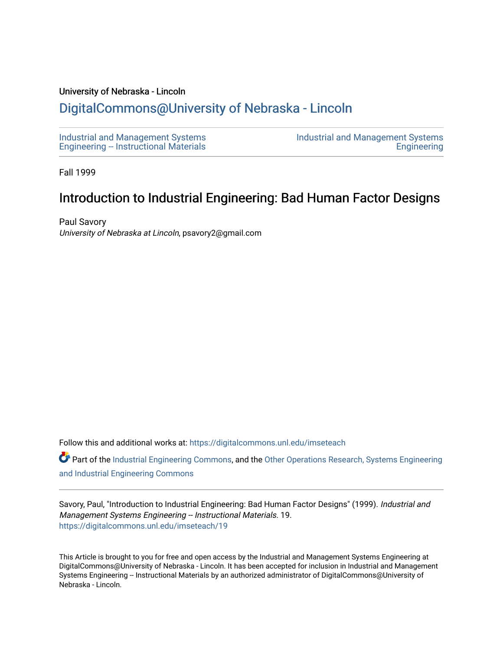#### University of Nebraska - Lincoln

# [DigitalCommons@University of Nebraska - Lincoln](https://digitalcommons.unl.edu/)

[Industrial and Management Systems](https://digitalcommons.unl.edu/imseteach)  [Engineering -- Instructional Materials](https://digitalcommons.unl.edu/imseteach)  [Industrial and Management Systems](https://digitalcommons.unl.edu/imse)  **Engineering** 

Fall 1999

# Introduction to Industrial Engineering: Bad Human Factor Designs

Paul Savory University of Nebraska at Lincoln, psavory2@gmail.com

Follow this and additional works at: [https://digitalcommons.unl.edu/imseteach](https://digitalcommons.unl.edu/imseteach?utm_source=digitalcommons.unl.edu%2Fimseteach%2F19&utm_medium=PDF&utm_campaign=PDFCoverPages) 

Part of the [Industrial Engineering Commons](http://network.bepress.com/hgg/discipline/307?utm_source=digitalcommons.unl.edu%2Fimseteach%2F19&utm_medium=PDF&utm_campaign=PDFCoverPages), and the Other Operations Research, Systems Engineering [and Industrial Engineering Commons](http://network.bepress.com/hgg/discipline/310?utm_source=digitalcommons.unl.edu%2Fimseteach%2F19&utm_medium=PDF&utm_campaign=PDFCoverPages) 

Savory, Paul, "Introduction to Industrial Engineering: Bad Human Factor Designs" (1999). Industrial and Management Systems Engineering -- Instructional Materials. 19. [https://digitalcommons.unl.edu/imseteach/19](https://digitalcommons.unl.edu/imseteach/19?utm_source=digitalcommons.unl.edu%2Fimseteach%2F19&utm_medium=PDF&utm_campaign=PDFCoverPages)

This Article is brought to you for free and open access by the Industrial and Management Systems Engineering at DigitalCommons@University of Nebraska - Lincoln. It has been accepted for inclusion in Industrial and Management Systems Engineering -- Instructional Materials by an authorized administrator of DigitalCommons@University of Nebraska - Lincoln.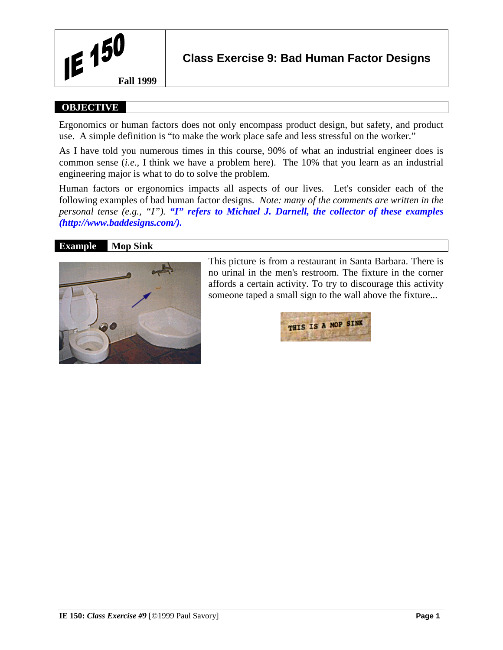

## **OBJECTIVE**

Ergonomics or human factors does not only encompass product design, but safety, and product use. A simple definition is "to make the work place safe and less stressful on the worker."

As I have told you numerous times in this course, 90% of what an industrial engineer does is common sense (*i.e.,* I think we have a problem here). The 10% that you learn as an industrial engineering major is what to do to solve the problem.

Human factors or ergonomics impacts all aspects of our lives. Let's consider each of the following examples of bad human factor designs. *Note: many of the comments are written in the personal tense (e.g., "I"). "I" refers to Michael J. Darnell, the collector of these examples (http://www.baddesigns.com/).*

## **Example Mop Sink**



This picture is from a restaurant in Santa Barbara. There is no urinal in the men's restroom. The fixture in the corner affords a certain activity. To try to discourage this activity someone taped a small sign to the wall above the fixture...

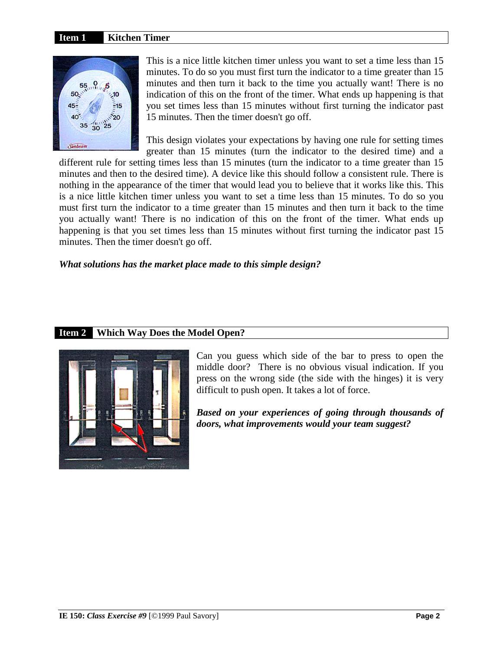#### **Item 1 Kitchen Timer**



This is a nice little kitchen timer unless you want to set a time less than 15 minutes. To do so you must first turn the indicator to a time greater than 15 minutes and then turn it back to the time you actually want! There is no indication of this on the front of the timer. What ends up happening is that you set times less than 15 minutes without first turning the indicator past 15 minutes. Then the timer doesn't go off.

This design violates your expectations by having one rule for setting times greater than 15 minutes (turn the indicator to the desired time) and a

different rule for setting times less than 15 minutes (turn the indicator to a time greater than 15 minutes and then to the desired time). A device like this should follow a consistent rule. There is nothing in the appearance of the timer that would lead you to believe that it works like this. This is a nice little kitchen timer unless you want to set a time less than 15 minutes. To do so you must first turn the indicator to a time greater than 15 minutes and then turn it back to the time you actually want! There is no indication of this on the front of the timer. What ends up happening is that you set times less than 15 minutes without first turning the indicator past 15 minutes. Then the timer doesn't go off.

#### *What solutions has the market place made to this simple design?*

## **Item 2 Which Way Does the Model Open?**



Can you guess which side of the bar to press to open the middle door? There is no obvious visual indication. If you press on the wrong side (the side with the hinges) it is very difficult to push open. It takes a lot of force.

*Based on your experiences of going through thousands of doors, what improvements would your team suggest?*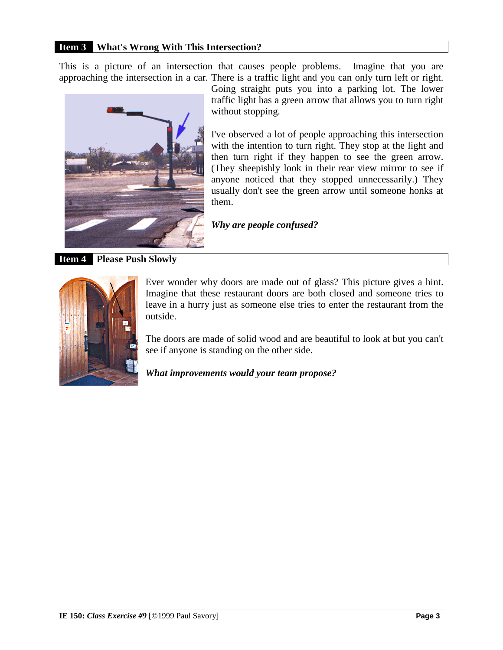## **Item 3 What's Wrong With This Intersection?**

This is a picture of an intersection that causes people problems. Imagine that you are approaching the intersection in a car. There is a traffic light and you can only turn left or right.



Going straight puts you into a parking lot. The lower traffic light has a green arrow that allows you to turn right without stopping.

I've observed a lot of people approaching this intersection with the intention to turn right. They stop at the light and then turn right if they happen to see the green arrow. (They sheepishly look in their rear view mirror to see if anyone noticed that they stopped unnecessarily.) They usually don't see the green arrow until someone honks at them.

*Why are people confused?* 

**Item 4 Please Push Slowly**



Ever wonder why doors are made out of glass? This picture gives a hint. Imagine that these restaurant doors are both closed and someone tries to leave in a hurry just as someone else tries to enter the restaurant from the outside.

The doors are made of solid wood and are beautiful to look at but you can't see if anyone is standing on the other side.

*What improvements would your team propose?*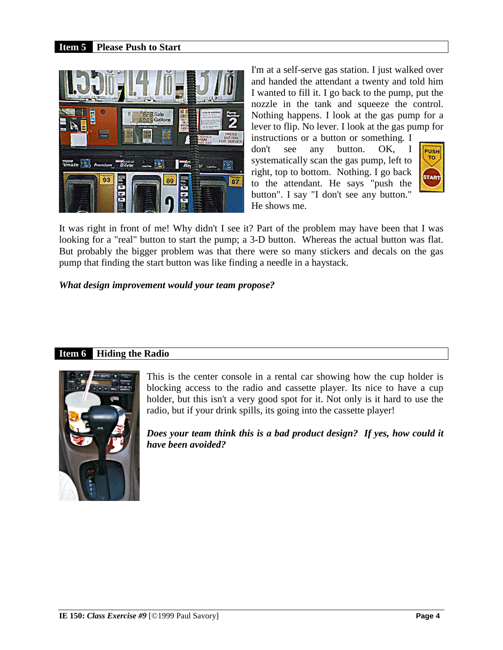## **Item 5 Please Push to Start**



I'm at a self-serve gas station. I just walked over and handed the attendant a twenty and told him I wanted to fill it. I go back to the pump, put the nozzle in the tank and squeeze the control. Nothing happens. I look at the gas pump for a lever to flip. No lever. I look at the gas pump for

instructions or a button or something. I don't see any button. OK, I systematically scan the gas pump, left to right, top to bottom. Nothing. I go back to the attendant. He says "push the button". I say "I don't see any button." He shows me.



It was right in front of me! Why didn't I see it? Part of the problem may have been that I was looking for a "real" button to start the pump; a 3-D button. Whereas the actual button was flat. But probably the bigger problem was that there were so many stickers and decals on the gas pump that finding the start button was like finding a needle in a haystack.

*What design improvement would your team propose?* 

## **Item 6 Hiding the Radio**



This is the center console in a rental car showing how the cup holder is blocking access to the radio and cassette player. Its nice to have a cup holder, but this isn't a very good spot for it. Not only is it hard to use the radio, but if your drink spills, its going into the cassette player!

*Does your team think this is a bad product design? If yes, how could it have been avoided?*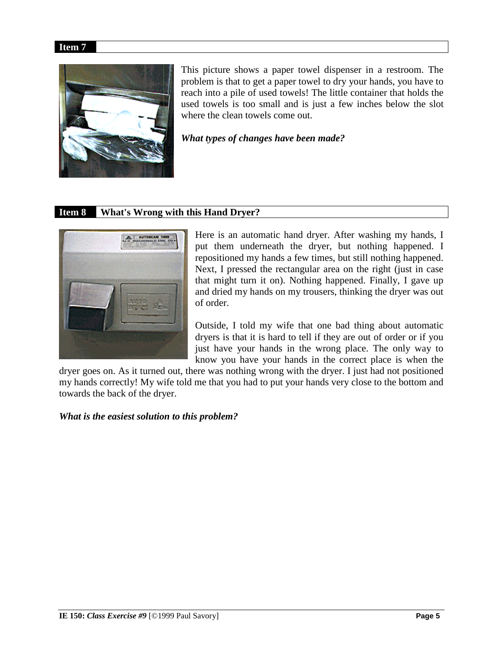#### **Item 7**



This picture shows a paper towel dispenser in a restroom. The problem is that to get a paper towel to dry your hands, you have to reach into a pile of used towels! The little container that holds the used towels is too small and is just a few inches below the slot where the clean towels come out.

*What types of changes have been made?*

# **Item 8 What's Wrong with this Hand Dryer?**



Here is an automatic hand dryer. After washing my hands, I put them underneath the dryer, but nothing happened. I repositioned my hands a few times, but still nothing happened. Next, I pressed the rectangular area on the right (just in case that might turn it on). Nothing happened. Finally, I gave up and dried my hands on my trousers, thinking the dryer was out of order.

Outside, I told my wife that one bad thing about automatic dryers is that it is hard to tell if they are out of order or if you just have your hands in the wrong place. The only way to know you have your hands in the correct place is when the

dryer goes on. As it turned out, there was nothing wrong with the dryer. I just had not positioned my hands correctly! My wife told me that you had to put your hands very close to the bottom and towards the back of the dryer.

*What is the easiest solution to this problem?*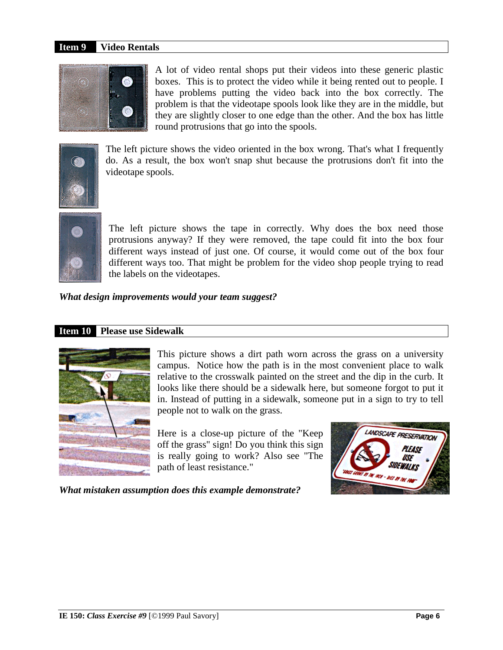## **Item 9 Video Rentals**



A lot of video rental shops put their videos into these generic plastic boxes. This is to protect the video while it being rented out to people. I have problems putting the video back into the box correctly. The problem is that the videotape spools look like they are in the middle, but they are slightly closer to one edge than the other. And the box has little round protrusions that go into the spools.



The left picture shows the video oriented in the box wrong. That's what I frequently do. As a result, the box won't snap shut because the protrusions don't fit into the videotape spools.



The left picture shows the tape in correctly. Why does the box need those protrusions anyway? If they were removed, the tape could fit into the box four different ways instead of just one. Of course, it would come out of the box four different ways too. That might be problem for the video shop people trying to read the labels on the videotapes.

*What design improvements would your team suggest?*

#### **Item 10 Please use Sidewalk**



This picture shows a dirt path worn across the grass on a university campus. Notice how the path is in the most convenient place to walk relative to the crosswalk painted on the street and the dip in the curb. It looks like there should be a sidewalk here, but someone forgot to put it in. Instead of putting in a sidewalk, someone put in a sign to try to tell people not to walk on the grass.

Here is a close-up picture of the "Keep off the grass" sign! Do you think this sign is really going to work? Also see "The path of least resistance."



*What mistaken assumption does this example demonstrate?*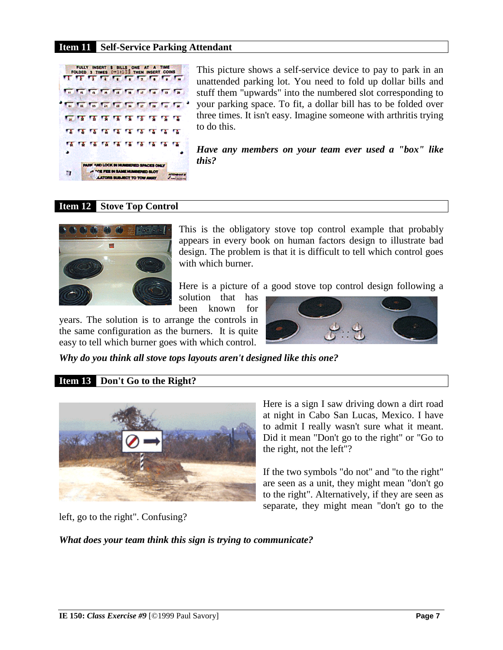## **Item 11 Self-Service Parking Attendant**



This picture shows a self-service device to pay to park in an unattended parking lot. You need to fold up dollar bills and stuff them "upwards" into the numbered slot corresponding to your parking space. To fit, a dollar bill has to be folded over three times. It isn't easy. Imagine someone with arthritis trying to do this.

*Have any members on your team ever used a "box" like this?*

#### **Item 12 Stove Top Control**



This is the obligatory stove top control example that probably appears in every book on human factors design to illustrate bad design. The problem is that it is difficult to tell which control goes with which burner.

Here is a picture of a good stove top control design following a

solution that has been known for

years. The solution is to arrange the controls in the same configuration as the burners. It is quite easy to tell which burner goes with which control.



*Why do you think all stove tops layouts aren't designed like this one?* 

## **Item 13 Don't Go to the Right?**



Here is a sign I saw driving down a dirt road at night in Cabo San Lucas, Mexico. I have to admit I really wasn't sure what it meant. Did it mean "Don't go to the right" or "Go to the right, not the left"?

If the two symbols "do not" and "to the right" are seen as a unit, they might mean "don't go to the right". Alternatively, if they are seen as separate, they might mean "don't go to the

left, go to the right". Confusing?

*What does your team think this sign is trying to communicate?*